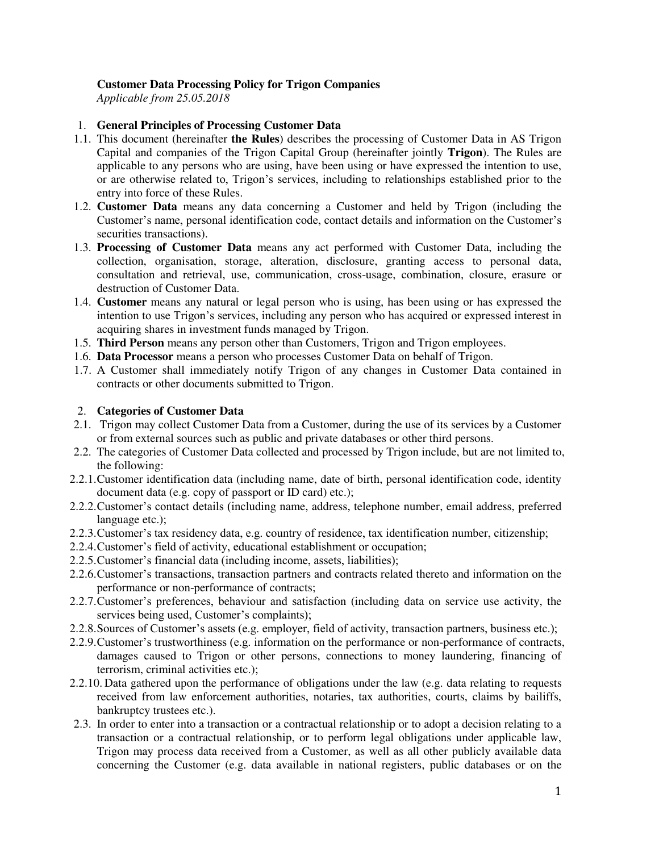## **Customer Data Processing Policy for Trigon Companies**

*Applicable from 25.05.2018* 

## 1. **General Principles of Processing Customer Data**

- 1.1. This document (hereinafter **the Rules**) describes the processing of Customer Data in AS Trigon Capital and companies of the Trigon Capital Group (hereinafter jointly **Trigon**). The Rules are applicable to any persons who are using, have been using or have expressed the intention to use, or are otherwise related to, Trigon's services, including to relationships established prior to the entry into force of these Rules.
- 1.2. **Customer Data** means any data concerning a Customer and held by Trigon (including the Customer's name, personal identification code, contact details and information on the Customer's securities transactions).
- 1.3. **Processing of Customer Data** means any act performed with Customer Data, including the collection, organisation, storage, alteration, disclosure, granting access to personal data, consultation and retrieval, use, communication, cross-usage, combination, closure, erasure or destruction of Customer Data.
- 1.4. **Customer** means any natural or legal person who is using, has been using or has expressed the intention to use Trigon's services, including any person who has acquired or expressed interest in acquiring shares in investment funds managed by Trigon.
- 1.5. **Third Person** means any person other than Customers, Trigon and Trigon employees.
- 1.6. **Data Processor** means a person who processes Customer Data on behalf of Trigon.
- 1.7. A Customer shall immediately notify Trigon of any changes in Customer Data contained in contracts or other documents submitted to Trigon.

## 2. **Categories of Customer Data**

- 2.1. Trigon may collect Customer Data from a Customer, during the use of its services by a Customer or from external sources such as public and private databases or other third persons.
- 2.2. The categories of Customer Data collected and processed by Trigon include, but are not limited to, the following:
- 2.2.1.Customer identification data (including name, date of birth, personal identification code, identity document data (e.g. copy of passport or ID card) etc.);
- 2.2.2.Customer's contact details (including name, address, telephone number, email address, preferred language etc.);
- 2.2.3.Customer's tax residency data, e.g. country of residence, tax identification number, citizenship;
- 2.2.4.Customer's field of activity, educational establishment or occupation;
- 2.2.5.Customer's financial data (including income, assets, liabilities);
- 2.2.6.Customer's transactions, transaction partners and contracts related thereto and information on the performance or non-performance of contracts;
- 2.2.7.Customer's preferences, behaviour and satisfaction (including data on service use activity, the services being used, Customer's complaints);
- 2.2.8.Sources of Customer's assets (e.g. employer, field of activity, transaction partners, business etc.);
- 2.2.9.Customer's trustworthiness (e.g. information on the performance or non-performance of contracts, damages caused to Trigon or other persons, connections to money laundering, financing of terrorism, criminal activities etc.);
- 2.2.10. Data gathered upon the performance of obligations under the law (e.g. data relating to requests received from law enforcement authorities, notaries, tax authorities, courts, claims by bailiffs, bankruptcy trustees etc.).
- 2.3. In order to enter into a transaction or a contractual relationship or to adopt a decision relating to a transaction or a contractual relationship, or to perform legal obligations under applicable law, Trigon may process data received from a Customer, as well as all other publicly available data concerning the Customer (e.g. data available in national registers, public databases or on the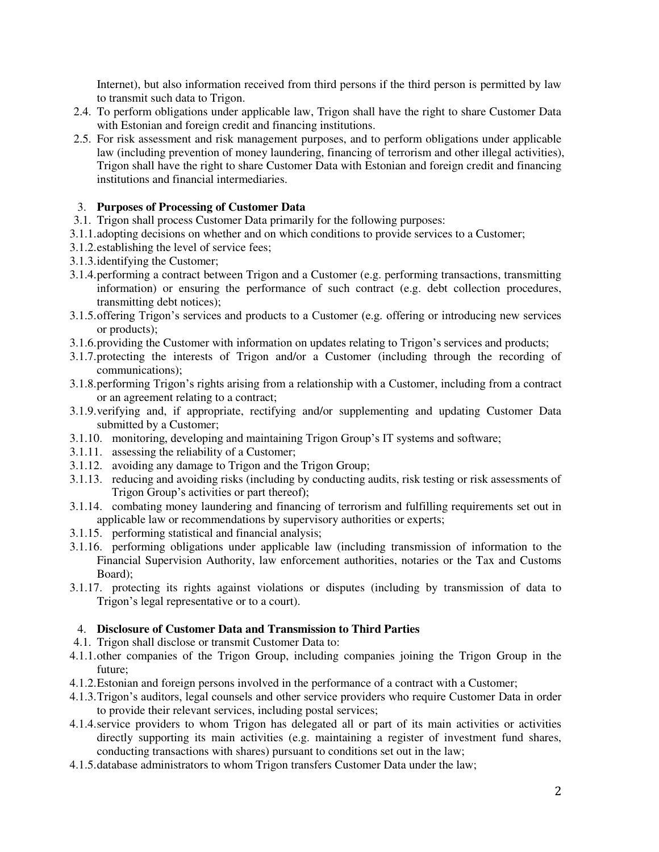Internet), but also information received from third persons if the third person is permitted by law to transmit such data to Trigon.

- 2.4. To perform obligations under applicable law, Trigon shall have the right to share Customer Data with Estonian and foreign credit and financing institutions.
- 2.5. For risk assessment and risk management purposes, and to perform obligations under applicable law (including prevention of money laundering, financing of terrorism and other illegal activities), Trigon shall have the right to share Customer Data with Estonian and foreign credit and financing institutions and financial intermediaries.

## 3. **Purposes of Processing of Customer Data**

- 3.1. Trigon shall process Customer Data primarily for the following purposes:
- 3.1.1.adopting decisions on whether and on which conditions to provide services to a Customer;
- 3.1.2.establishing the level of service fees;
- 3.1.3.identifying the Customer;
- 3.1.4.performing a contract between Trigon and a Customer (e.g. performing transactions, transmitting information) or ensuring the performance of such contract (e.g. debt collection procedures, transmitting debt notices);
- 3.1.5.offering Trigon's services and products to a Customer (e.g. offering or introducing new services or products);
- 3.1.6.providing the Customer with information on updates relating to Trigon's services and products;
- 3.1.7.protecting the interests of Trigon and/or a Customer (including through the recording of communications);
- 3.1.8.performing Trigon's rights arising from a relationship with a Customer, including from a contract or an agreement relating to a contract;
- 3.1.9.verifying and, if appropriate, rectifying and/or supplementing and updating Customer Data submitted by a Customer;
- 3.1.10. monitoring, developing and maintaining Trigon Group's IT systems and software;
- 3.1.11. assessing the reliability of a Customer;
- 3.1.12. avoiding any damage to Trigon and the Trigon Group;
- 3.1.13. reducing and avoiding risks (including by conducting audits, risk testing or risk assessments of Trigon Group's activities or part thereof);
- 3.1.14. combating money laundering and financing of terrorism and fulfilling requirements set out in applicable law or recommendations by supervisory authorities or experts;
- 3.1.15. performing statistical and financial analysis;
- 3.1.16. performing obligations under applicable law (including transmission of information to the Financial Supervision Authority, law enforcement authorities, notaries or the Tax and Customs Board);
- 3.1.17. protecting its rights against violations or disputes (including by transmission of data to Trigon's legal representative or to a court).

## 4. **Disclosure of Customer Data and Transmission to Third Parties**

- 4.1. Trigon shall disclose or transmit Customer Data to:
- 4.1.1.other companies of the Trigon Group, including companies joining the Trigon Group in the future;
- 4.1.2.Estonian and foreign persons involved in the performance of a contract with a Customer;
- 4.1.3.Trigon's auditors, legal counsels and other service providers who require Customer Data in order to provide their relevant services, including postal services;
- 4.1.4.service providers to whom Trigon has delegated all or part of its main activities or activities directly supporting its main activities (e.g. maintaining a register of investment fund shares, conducting transactions with shares) pursuant to conditions set out in the law;
- 4.1.5.database administrators to whom Trigon transfers Customer Data under the law;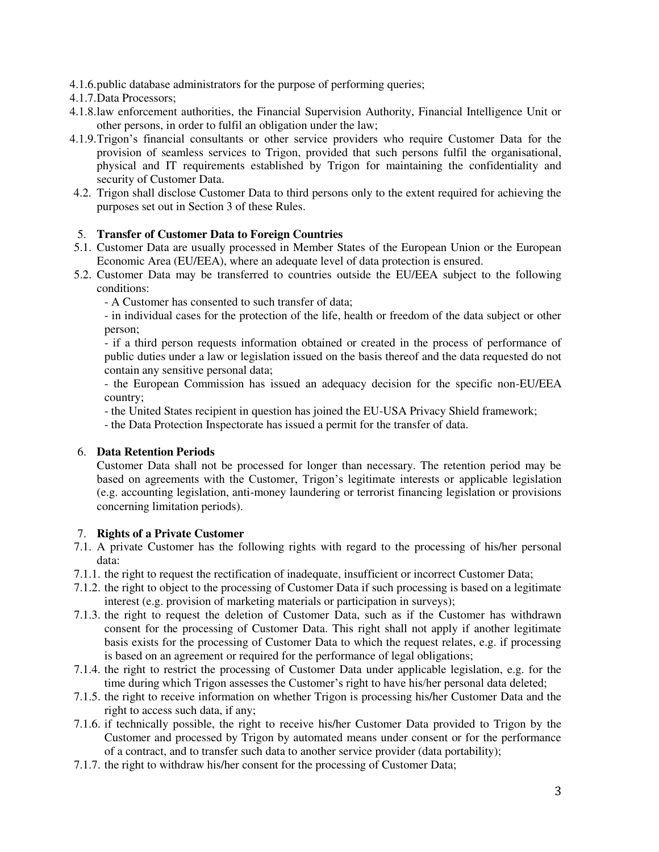- 4.1.6.public database administrators for the purpose of performing queries;
- 4.1.7.Data Processors;
- 4.1.8.law enforcement authorities, the Financial Supervision Authority, Financial Intelligence Unit or other persons, in order to fulfil an obligation under the law;
- 4.1.9.Trigon's financial consultants or other service providers who require Customer Data for the provision of seamless services to Trigon, provided that such persons fulfil the organisational, physical and IT requirements established by Trigon for maintaining the confidentiality and security of Customer Data.
- 4.2. Trigon shall disclose Customer Data to third persons only to the extent required for achieving the purposes set out in Section 3 of these Rules.

## 5. **Transfer of Customer Data to Foreign Countries**

- 5.1. Customer Data are usually processed in Member States of the European Union or the European Economic Area (EU/EEA), where an adequate level of data protection is ensured.
- 5.2. Customer Data may be transferred to countries outside the EU/EEA subject to the following conditions:

- A Customer has consented to such transfer of data;

- in individual cases for the protection of the life, health or freedom of the data subject or other person;

- if a third person requests information obtained or created in the process of performance of public duties under a law or legislation issued on the basis thereof and the data requested do not contain any [sensitive personal data;](https://www.riigiteataja.ee/akt/114032014031&leiaKehtiv#para4)

- the European Commission has issued an adequacy decision for the specific non-EU/EEA country;

- the United States recipient in question has joined the EU-USA Privacy Shield framework;

- the Data Protection Inspectorate has issued a permit for the transfer of data.

# 6. **Data Retention Periods**

Customer Data shall not be processed for longer than necessary. The retention period may be based on agreements with the Customer, Trigon's legitimate interests or applicable legislation (e.g. accounting legislation, anti-money laundering or terrorist financing legislation or provisions concerning limitation periods).

## 7. **Rights of a Private Customer**

- 7.1. A private Customer has the following rights with regard to the processing of his/her personal data:
- 7.1.1. the right to request the rectification of inadequate, insufficient or incorrect Customer Data;
- 7.1.2. the right to object to the processing of Customer Data if such processing is based on a legitimate interest (e.g. provision of marketing materials or participation in surveys);
- 7.1.3. the right to request the deletion of Customer Data, such as if the Customer has withdrawn consent for the processing of Customer Data. This right shall not apply if another legitimate basis exists for the processing of Customer Data to which the request relates, e.g. if processing is based on an agreement or required for the performance of legal obligations;
- 7.1.4. the right to restrict the processing of Customer Data under applicable legislation, e.g. for the time during which Trigon assesses the Customer's right to have his/her personal data deleted;
- 7.1.5. the right to receive information on whether Trigon is processing his/her Customer Data and the right to access such data, if any;
- 7.1.6. if technically possible, the right to receive his/her Customer Data provided to Trigon by the Customer and processed by Trigon by automated means under consent or for the performance of a contract, and to transfer such data to another service provider (data portability);
- 7.1.7. the right to withdraw his/her consent for the processing of Customer Data;